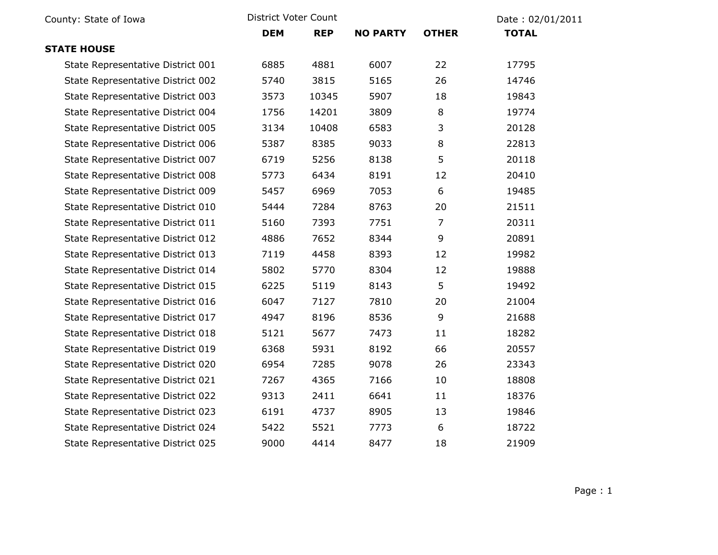| County: State of Iowa             | District Voter Count |            |                 | Date: 02/01/2011 |              |  |
|-----------------------------------|----------------------|------------|-----------------|------------------|--------------|--|
|                                   | <b>DEM</b>           | <b>REP</b> | <b>NO PARTY</b> | <b>OTHER</b>     | <b>TOTAL</b> |  |
| <b>STATE HOUSE</b>                |                      |            |                 |                  |              |  |
| State Representative District 001 | 6885                 | 4881       | 6007            | 22               | 17795        |  |
| State Representative District 002 | 5740                 | 3815       | 5165            | 26               | 14746        |  |
| State Representative District 003 | 3573                 | 10345      | 5907            | 18               | 19843        |  |
| State Representative District 004 | 1756                 | 14201      | 3809            | 8                | 19774        |  |
| State Representative District 005 | 3134                 | 10408      | 6583            | 3                | 20128        |  |
| State Representative District 006 | 5387                 | 8385       | 9033            | 8                | 22813        |  |
| State Representative District 007 | 6719                 | 5256       | 8138            | 5                | 20118        |  |
| State Representative District 008 | 5773                 | 6434       | 8191            | 12               | 20410        |  |
| State Representative District 009 | 5457                 | 6969       | 7053            | 6                | 19485        |  |
| State Representative District 010 | 5444                 | 7284       | 8763            | 20               | 21511        |  |
| State Representative District 011 | 5160                 | 7393       | 7751            | 7                | 20311        |  |
| State Representative District 012 | 4886                 | 7652       | 8344            | 9                | 20891        |  |
| State Representative District 013 | 7119                 | 4458       | 8393            | 12               | 19982        |  |
| State Representative District 014 | 5802                 | 5770       | 8304            | 12               | 19888        |  |
| State Representative District 015 | 6225                 | 5119       | 8143            | 5                | 19492        |  |
| State Representative District 016 | 6047                 | 7127       | 7810            | 20               | 21004        |  |
| State Representative District 017 | 4947                 | 8196       | 8536            | 9                | 21688        |  |
| State Representative District 018 | 5121                 | 5677       | 7473            | 11               | 18282        |  |
| State Representative District 019 | 6368                 | 5931       | 8192            | 66               | 20557        |  |
| State Representative District 020 | 6954                 | 7285       | 9078            | 26               | 23343        |  |
| State Representative District 021 | 7267                 | 4365       | 7166            | 10               | 18808        |  |
| State Representative District 022 | 9313                 | 2411       | 6641            | 11               | 18376        |  |
| State Representative District 023 | 6191                 | 4737       | 8905            | 13               | 19846        |  |
| State Representative District 024 | 5422                 | 5521       | 7773            | 6                | 18722        |  |
| State Representative District 025 | 9000                 | 4414       | 8477            | 18               | 21909        |  |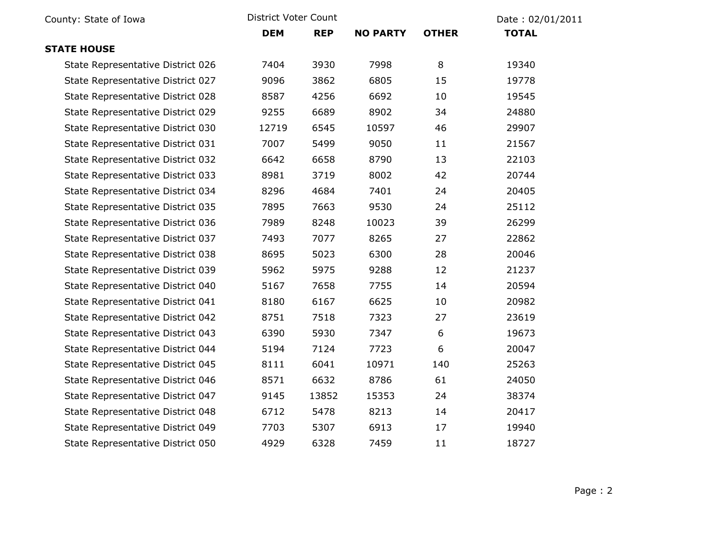| County: State of Iowa             | District Voter Count |            |                 |              | Date: 02/01/2011 |  |
|-----------------------------------|----------------------|------------|-----------------|--------------|------------------|--|
|                                   | <b>DEM</b>           | <b>REP</b> | <b>NO PARTY</b> | <b>OTHER</b> | <b>TOTAL</b>     |  |
| <b>STATE HOUSE</b>                |                      |            |                 |              |                  |  |
| State Representative District 026 | 7404                 | 3930       | 7998            | 8            | 19340            |  |
| State Representative District 027 | 9096                 | 3862       | 6805            | 15           | 19778            |  |
| State Representative District 028 | 8587                 | 4256       | 6692            | 10           | 19545            |  |
| State Representative District 029 | 9255                 | 6689       | 8902            | 34           | 24880            |  |
| State Representative District 030 | 12719                | 6545       | 10597           | 46           | 29907            |  |
| State Representative District 031 | 7007                 | 5499       | 9050            | 11           | 21567            |  |
| State Representative District 032 | 6642                 | 6658       | 8790            | 13           | 22103            |  |
| State Representative District 033 | 8981                 | 3719       | 8002            | 42           | 20744            |  |
| State Representative District 034 | 8296                 | 4684       | 7401            | 24           | 20405            |  |
| State Representative District 035 | 7895                 | 7663       | 9530            | 24           | 25112            |  |
| State Representative District 036 | 7989                 | 8248       | 10023           | 39           | 26299            |  |
| State Representative District 037 | 7493                 | 7077       | 8265            | 27           | 22862            |  |
| State Representative District 038 | 8695                 | 5023       | 6300            | 28           | 20046            |  |
| State Representative District 039 | 5962                 | 5975       | 9288            | 12           | 21237            |  |
| State Representative District 040 | 5167                 | 7658       | 7755            | 14           | 20594            |  |
| State Representative District 041 | 8180                 | 6167       | 6625            | 10           | 20982            |  |
| State Representative District 042 | 8751                 | 7518       | 7323            | 27           | 23619            |  |
| State Representative District 043 | 6390                 | 5930       | 7347            | 6            | 19673            |  |
| State Representative District 044 | 5194                 | 7124       | 7723            | 6            | 20047            |  |
| State Representative District 045 | 8111                 | 6041       | 10971           | 140          | 25263            |  |
| State Representative District 046 | 8571                 | 6632       | 8786            | 61           | 24050            |  |
| State Representative District 047 | 9145                 | 13852      | 15353           | 24           | 38374            |  |
| State Representative District 048 | 6712                 | 5478       | 8213            | 14           | 20417            |  |
| State Representative District 049 | 7703                 | 5307       | 6913            | 17           | 19940            |  |
| State Representative District 050 | 4929                 | 6328       | 7459            | 11           | 18727            |  |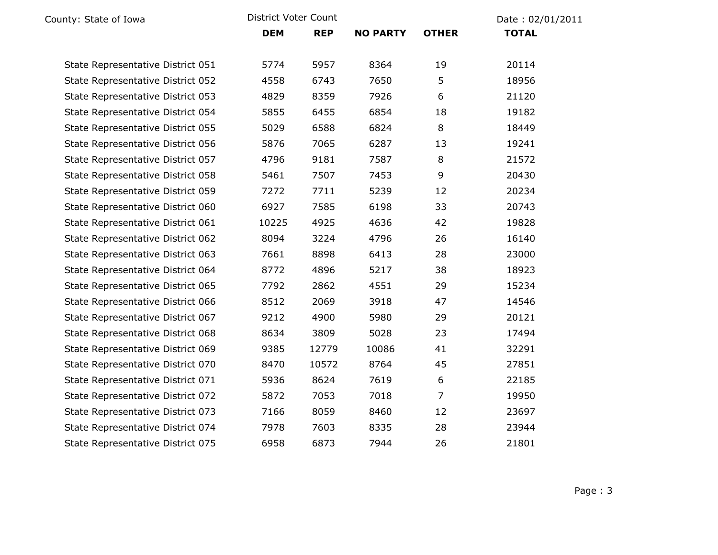| County: State of Iowa             | District Voter Count |            |                 |                | Date: 02/01/2011 |  |
|-----------------------------------|----------------------|------------|-----------------|----------------|------------------|--|
|                                   | <b>DEM</b>           | <b>REP</b> | <b>NO PARTY</b> | <b>OTHER</b>   | <b>TOTAL</b>     |  |
| State Representative District 051 | 5774                 | 5957       | 8364            | 19             | 20114            |  |
| State Representative District 052 | 4558                 | 6743       | 7650            | 5              | 18956            |  |
| State Representative District 053 | 4829                 | 8359       | 7926            | 6              | 21120            |  |
| State Representative District 054 | 5855                 | 6455       | 6854            | 18             | 19182            |  |
| State Representative District 055 | 5029                 | 6588       | 6824            | 8              | 18449            |  |
| State Representative District 056 | 5876                 | 7065       | 6287            | 13             | 19241            |  |
| State Representative District 057 | 4796                 | 9181       | 7587            | 8              | 21572            |  |
| State Representative District 058 | 5461                 | 7507       | 7453            | 9              | 20430            |  |
| State Representative District 059 | 7272                 | 7711       | 5239            | 12             | 20234            |  |
| State Representative District 060 | 6927                 | 7585       | 6198            | 33             | 20743            |  |
| State Representative District 061 | 10225                | 4925       | 4636            | 42             | 19828            |  |
| State Representative District 062 | 8094                 | 3224       | 4796            | 26             | 16140            |  |
| State Representative District 063 | 7661                 | 8898       | 6413            | 28             | 23000            |  |
| State Representative District 064 | 8772                 | 4896       | 5217            | 38             | 18923            |  |
| State Representative District 065 | 7792                 | 2862       | 4551            | 29             | 15234            |  |
| State Representative District 066 | 8512                 | 2069       | 3918            | 47             | 14546            |  |
| State Representative District 067 | 9212                 | 4900       | 5980            | 29             | 20121            |  |
| State Representative District 068 | 8634                 | 3809       | 5028            | 23             | 17494            |  |
| State Representative District 069 | 9385                 | 12779      | 10086           | 41             | 32291            |  |
| State Representative District 070 | 8470                 | 10572      | 8764            | 45             | 27851            |  |
| State Representative District 071 | 5936                 | 8624       | 7619            | 6              | 22185            |  |
| State Representative District 072 | 5872                 | 7053       | 7018            | $\overline{7}$ | 19950            |  |
| State Representative District 073 | 7166                 | 8059       | 8460            | 12             | 23697            |  |
| State Representative District 074 | 7978                 | 7603       | 8335            | 28             | 23944            |  |
| State Representative District 075 | 6958                 | 6873       | 7944            | 26             | 21801            |  |